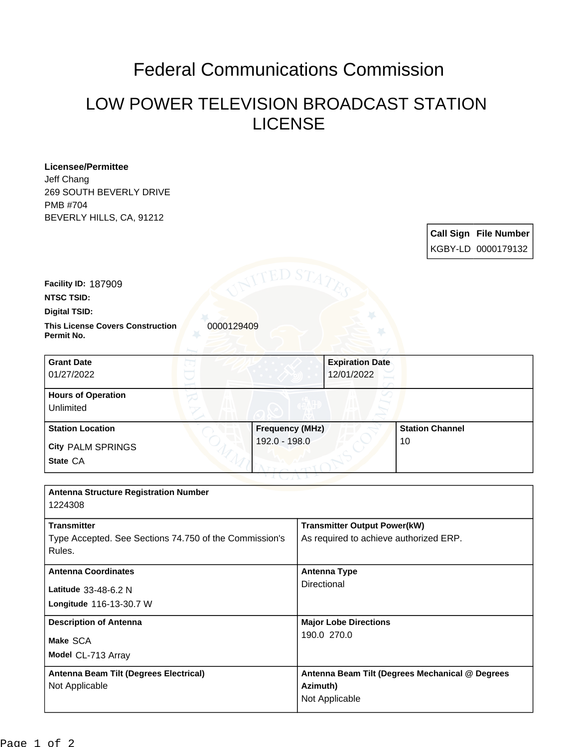## Federal Communications Commission

## LOW POWER TELEVISION BROADCAST STATION LICENSE

| <b>Licensee/Permittee</b><br>Jeff Chang<br><b>269 SOUTH BEVERLY DRIVE</b><br>PMB #704<br>BEVERLY HILLS, CA, 91212 |                        |                                        |                                                 | Call Sign File Number |  |
|-------------------------------------------------------------------------------------------------------------------|------------------------|----------------------------------------|-------------------------------------------------|-----------------------|--|
|                                                                                                                   |                        |                                        |                                                 | KGBY-LD 0000179132    |  |
|                                                                                                                   |                        |                                        |                                                 |                       |  |
| <b>Facility ID: 187909</b>                                                                                        |                        |                                        |                                                 |                       |  |
| <b>NTSC TSID:</b>                                                                                                 |                        |                                        |                                                 |                       |  |
| <b>Digital TSID:</b>                                                                                              |                        |                                        |                                                 |                       |  |
| <b>This License Covers Construction</b><br>0000129409<br>Permit No.                                               |                        |                                        |                                                 |                       |  |
| <b>Grant Date</b>                                                                                                 |                        | <b>Expiration Date</b>                 |                                                 |                       |  |
| 01/27/2022                                                                                                        |                        | 12/01/2022                             |                                                 |                       |  |
| <b>Hours of Operation</b>                                                                                         |                        |                                        |                                                 |                       |  |
| Unlimited                                                                                                         |                        |                                        |                                                 |                       |  |
| <b>Station Location</b>                                                                                           | <b>Frequency (MHz)</b> |                                        | <b>Station Channel</b>                          |                       |  |
| City PALM SPRINGS                                                                                                 | 192.0 - 198.0          |                                        | 10                                              |                       |  |
| State CA                                                                                                          |                        |                                        |                                                 |                       |  |
|                                                                                                                   |                        |                                        |                                                 |                       |  |
| <b>Antenna Structure Registration Number</b><br>1224308                                                           |                        |                                        |                                                 |                       |  |
| <b>Transmitter</b>                                                                                                |                        | <b>Transmitter Output Power(kW)</b>    |                                                 |                       |  |
| Type Accepted. See Sections 74.750 of the Commission's<br>Rules.                                                  |                        | As required to achieve authorized ERP. |                                                 |                       |  |
| <b>Antenna Coordinates</b>                                                                                        |                        | <b>Antenna Type</b>                    |                                                 |                       |  |
| Latitude 33-48-6.2 N                                                                                              | Directional            |                                        |                                                 |                       |  |
| Longitude 116-13-30.7 W                                                                                           |                        |                                        |                                                 |                       |  |
| <b>Description of Antenna</b>                                                                                     |                        | <b>Major Lobe Directions</b>           |                                                 |                       |  |
| Make SCA                                                                                                          |                        | 190.0 270.0                            |                                                 |                       |  |
| Model CL-713 Array                                                                                                |                        |                                        |                                                 |                       |  |
| Antenna Beam Tilt (Degrees Electrical)                                                                            |                        |                                        | Antenna Beam Tilt (Degrees Mechanical @ Degrees |                       |  |
| Not Applicable                                                                                                    | Azimuth)               |                                        |                                                 |                       |  |
|                                                                                                                   |                        | Not Applicable                         |                                                 |                       |  |